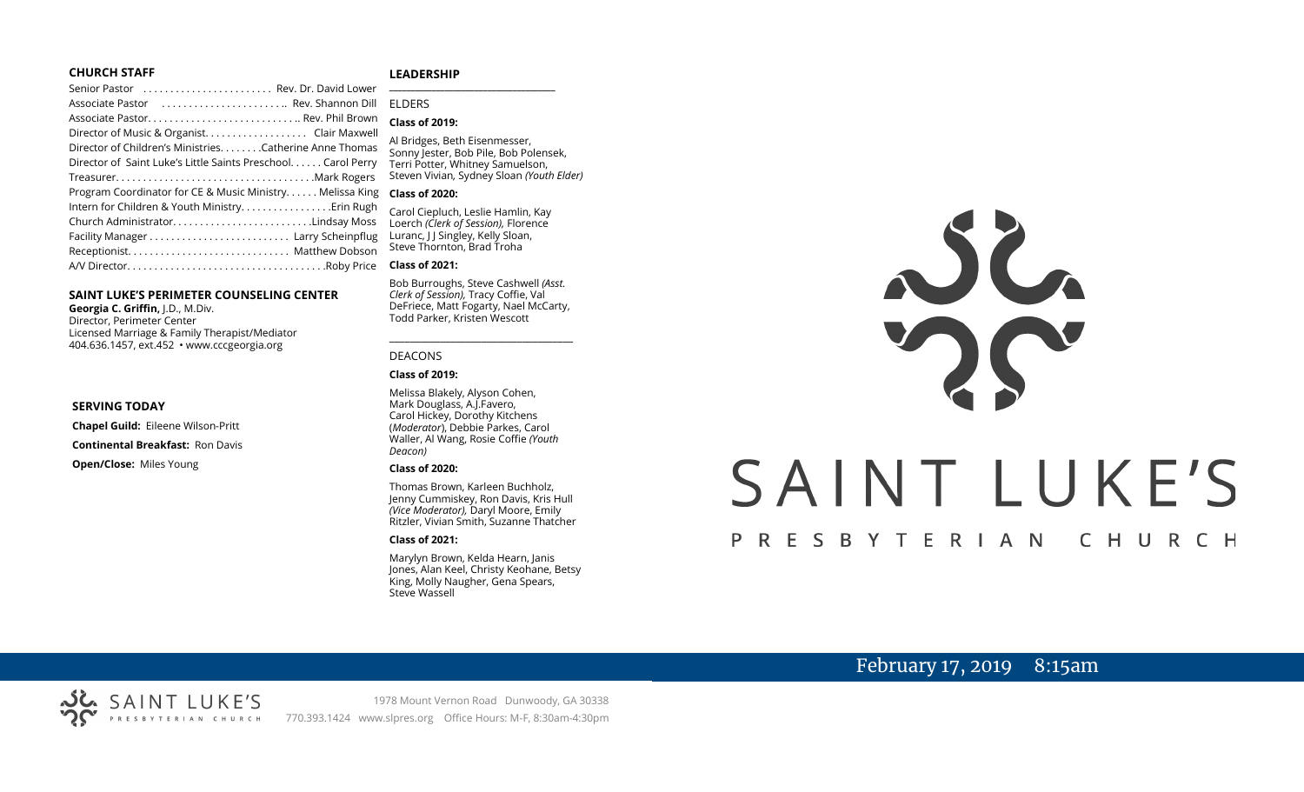#### **CHURCH STAFF**

#### **LEADERSHIP**

| Senior Pastor  Rev. Dr. David Lower                           | $\overline{a}$ |
|---------------------------------------------------------------|----------------|
| Associate Pastor  Rev. Shannon Dill                           | F              |
|                                                               |                |
| Director of Music & Organist. Clair Maxwell                   |                |
| Director of Children's MinistriesCatherine Anne Thomas        | F<br>.<br>S    |
| Director of Saint Luke's Little Saints Preschool. Carol Perry | Ī              |
|                                                               | S              |
| Program Coordinator for CE & Music Ministry Melissa King      | $\epsilon$     |
| Intern for Children & Youth Ministry Erin Rugh                | $\epsilon$     |
| Church AdministratorLindsay Moss                              | $\mathbf{I}$   |
|                                                               | L              |
|                                                               | S              |
|                                                               | C              |
|                                                               |                |

#### **SAINT LUKE'S PERIMETER COUNSELING CENTER**

**Georgia C. Griffin,** J.D., M.Div. Director, Perimeter Center Licensed Marriage & Family Therapist/Mediator 404.636.1457, ext.452 • www.cccgeorgia.org

#### **SERVING TODAY**

**Chapel Guild:** Eileene Wilson-Pritt

**Continental Breakfast:** Ron Davis

**Open/Close:** Miles Young

#### **\_\_\_\_\_\_\_\_\_\_\_\_\_\_\_\_\_\_\_\_\_\_\_\_\_\_\_\_\_\_\_\_\_\_\_\_\_\_\_** ELDERS

#### **Class of 2019:**

Al Bridges, Beth Eisenmesser, Sonny Jester, Bob Pile, Bob Polensek, Terri Potter, Whitney Samuelson, Steven Vivian*,* Sydney Sloan *(Youth Elder)*

#### **Class of 2020:**

Carol Ciepluch, Leslie Hamlin, Kay Loerch *(Clerk of Session),* Florence Luranc, J J Singley, Kelly Sloan, Steve Thornton, Brad Troha

#### **Class of 2021:**

Bob Burroughs, Steve Cashwell *(Asst. Clerk of Session),* Tracy Coffie, Val DeFriece, Matt Fogarty, Nael McCarty, Todd Parker, Kristen Wescott

\_\_\_\_\_\_\_\_\_\_\_\_\_\_\_\_\_\_\_\_\_\_\_\_\_\_\_\_\_\_\_\_\_\_\_\_

#### DEACONS

#### **Class of 2019:**

Melissa Blakely, Alyson Cohen, Mark Douglass, A.J.Favero, Carol Hickey, Dorothy Kitchens (*Moderator*), Debbie Parkes, Carol Waller, Al Wang, Rosie Coffie *(Youth Deacon)* 

#### **Class of 2020:**

Thomas Brown, Karleen Buchholz, Jenny Cummiskey, Ron Davis, Kris Hull *(Vice Moderator),* Daryl Moore, Emily Ritzler, Vivian Smith, Suzanne Thatcher

#### **Class of 2021:**

Marylyn Brown, Kelda Hearn, Janis Jones, Alan Keel, Christy Keohane, Betsy King, Molly Naugher, Gena Spears, Steve Wassell



# February 17, 2019 8:15am

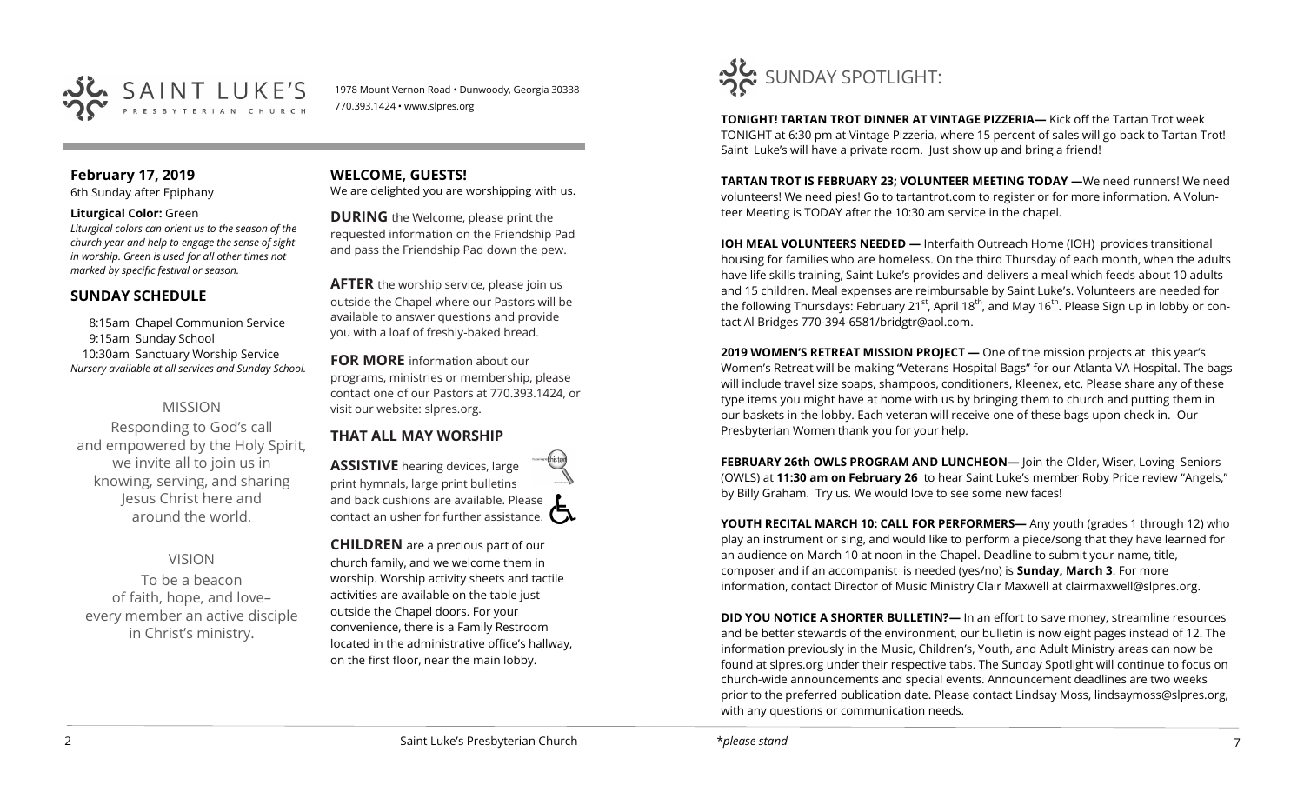

1978 Mount Vernon Road • Dunwoody, Georgia 30338 770.393.1424 • www.slpres.org

## **February 17, 2019**

6th Sunday after Epiphany

#### **Liturgical Color:** Green

*Liturgical colors can orient us to the season of the church year and help to engage the sense of sight in worship. Green is used for all other times not marked by specific festival or season.*

### **SUNDAY SCHEDULE**

8:15am Chapel Communion Service 9:15am Sunday School 10:30am Sanctuary Worship Service *Nursery available at all services and Sunday School.* 

## MISSION

Responding to God's call and empowered by the Holy Spirit, we invite all to join us in knowing, serving, and sharing Jesus Christ here and around the world.

### VISION

To be a beacon of faith, hope, and love– every member an active disciple in Christ's ministry.

**WELCOME, GUESTS!**  We are delighted you are worshipping with us.

**DURING** the Welcome, please print the requested information on the Friendship Pad and pass the Friendship Pad down the pew.

**AFTER** the worship service, please join us outside the Chapel where our Pastors will be available to answer questions and provide you with a loaf of freshly-baked bread.

**FOR MORE** information about our programs, ministries or membership, please contact one of our Pastors at 770.393.1424, or visit our website: slpres.org.

# **THAT ALL MAY WORSHIP**

**ASSISTIVE** hearing devices, large print hymnals, large print bulletins and back cushions are available. Please contact an usher for further assistance.

**CHILDREN** are a precious part of our church family, and we welcome them in worship. Worship activity sheets and tactile activities are available on the table just outside the Chapel doors. For your convenience, there is a Family Restroom located in the administrative office's hallway, on the first floor, near the main lobby.



**TONIGHT! TARTAN TROT DINNER AT VINTAGE PIZZERIA—** Kick off the Tartan Trot week TONIGHT at 6:30 pm at Vintage Pizzeria, where 15 percent of sales will go back to Tartan Trot! Saint Luke's will have a private room. Just show up and bring a friend!

**TARTAN TROT IS FEBRUARY 23; VOLUNTEER MEETING TODAY —**We need runners! We need volunteers! We need pies! Go to tartantrot.com to register or for more information. A Volunteer Meeting is TODAY after the 10:30 am service in the chapel.

**IOH MEAL VOLUNTEERS NEEDED —** Interfaith Outreach Home (IOH) provides transitional housing for families who are homeless. On the third Thursday of each month, when the adults have life skills training, Saint Luke's provides and delivers a meal which feeds about 10 adults and 15 children. Meal expenses are reimbursable by Saint Luke's. Volunteers are needed for the following Thursdays: February 21<sup>st</sup>, April 18<sup>th</sup>, and May 16<sup>th</sup>. Please Sign up in lobby or contact Al Bridges 770-394-6581/bridgtr@aol.com.

**2019 WOMEN'S RETREAT MISSION PROJECT —** One of the mission projects at this year's Women's Retreat will be making "Veterans Hospital Bags" for our Atlanta VA Hospital. The bags will include travel size soaps, shampoos, conditioners, Kleenex, etc. Please share any of these type items you might have at home with us by bringing them to church and putting them in our baskets in the lobby. Each veteran will receive one of these bags upon check in. Our Presbyterian Women thank you for your help.

**FEBRUARY 26th OWLS PROGRAM AND LUNCHEON—** Join the Older, Wiser, Loving Seniors (OWLS) at **11:30 am on February 26** to hear Saint Luke's member Roby Price review "Angels," by Billy Graham. Try us. We would love to see some new faces!

**YOUTH RECITAL MARCH 10: CALL FOR PERFORMERS—** Any youth (grades 1 through 12) who play an instrument or sing, and would like to perform a piece/song that they have learned for an audience on March 10 at noon in the Chapel. Deadline to submit your name, title, composer and if an accompanist is needed (yes/no) is **Sunday, March 3**. For more information, contact Director of Music Ministry Clair Maxwell at [clairmaxwell@slpres.org.](mailto:clairmaxwell@slpres.org)

**DID YOU NOTICE A SHORTER BULLETIN?**— In an effort to save money, streamline resources and be better stewards of the environment, our bulletin is now eight pages instead of 12. The information previously in the Music, Children's, Youth, and Adult Ministry areas can now be found at slpres.org under their respective tabs. The Sunday Spotlight will continue to focus on church-wide announcements and special events. Announcement deadlines are two weeks prior to the preferred publication date. Please contact Lindsay Moss, lindsaymoss@slpres.org, with any questions or communication needs.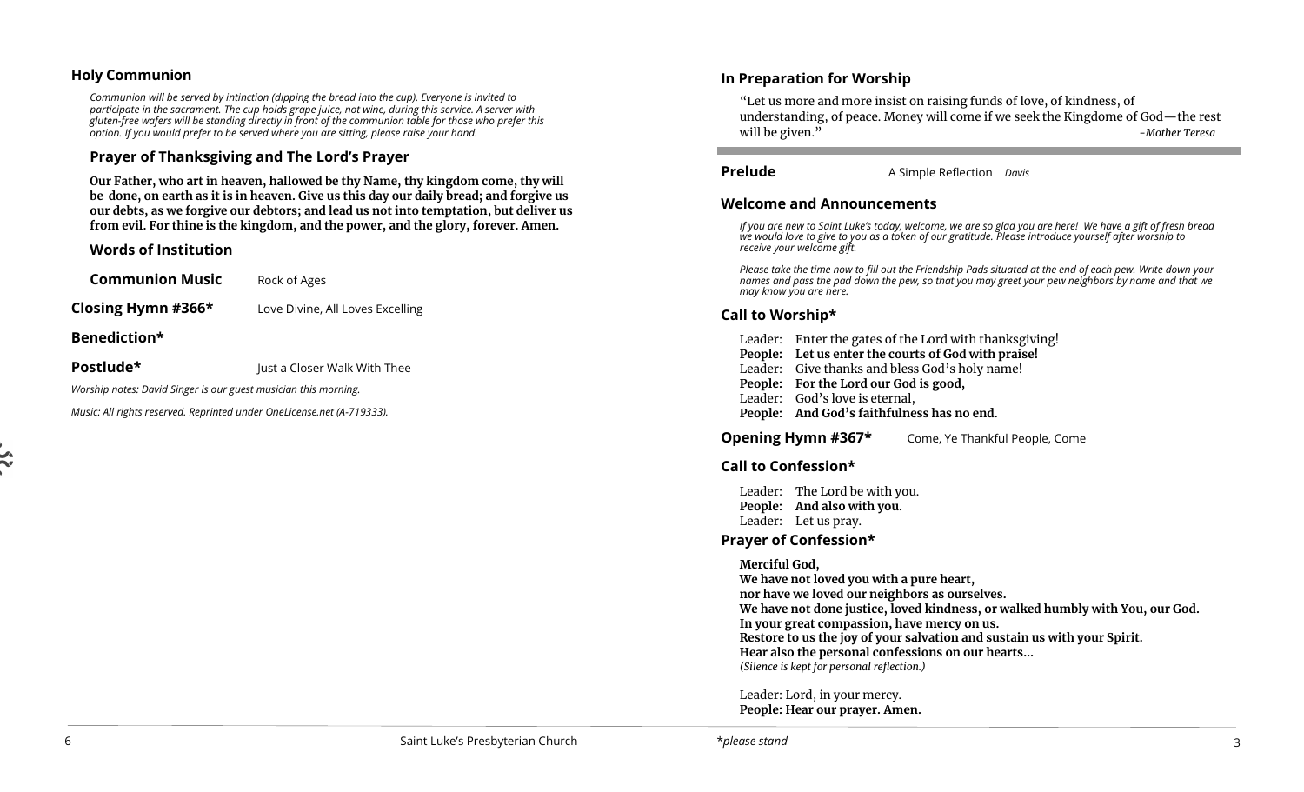### **Holy Communion**

*Communion will be served by intinction (dipping the bread into the cup). Everyone is invited to participate in the sacrament. The cup holds grape juice, not wine, during this service. A server with gluten-free wafers will be standing directly in front of the communion table for those who prefer this option. If you would prefer to be served where you are sitting, please raise your hand.*

## **Prayer of Thanksgiving and The Lord's Prayer**

**Our Father, who art in heaven, hallowed be thy Name, thy kingdom come, thy will be done, on earth as it is in heaven. Give us this day our daily bread; and forgive us our debts, as we forgive our debtors; and lead us not into temptation, but deliver us from evil. For thine is the kingdom, and the power, and the glory, forever. Amen.**

### **Words of Institution**

**Communion Music** Rock of Ages

**Closing Hymn #366\*** Love Divine, All Loves Excelling

#### **Benediction\***

**Postlude\* Just a Closer Walk With Thee** 

*Worship notes: David Singer is our guest musician this morning.*

*Music: All rights reserved. Reprinted under OneLicense.net (A-719333).*

## **In Preparation for Worship**

"Let us more and more insist on raising funds of love, of kindness, of understanding, of peace. Money will come if we seek the Kingdome of God—the rest will be given." *-Mother Teresa*

**Prelude** A Simple Reflection *Davis* 

### **Welcome and Announcements**

*If you are new to Saint Luke's today, welcome, we are so glad you are here! We have a gift of fresh bread we would love to give to you as a token of our gratitude. Please introduce yourself after worship to receive your welcome gift.*

*Please take the time now to fill out the Friendship Pads situated at the end of each pew. Write down your names and pass the pad down the pew, so that you may greet your pew neighbors by name and that we may know you are here.*

### **Call to Worship\***

Leader: Enter the gates of the Lord with thanksgiving! **People: Let us enter the courts of God with praise!** Leader: Give thanks and bless God's holy name! **People: For the Lord our God is good,** Leader: God's love is eternal, **People: And God's faithfulness has no end.**

**Opening Hymn #367\*** Come, Ye Thankful People, Come

### **Call to Confession\***

Leader: The Lord be with you. **People: And also with you.**  Leader: Let us pray.

### **Prayer of Confession\***

**Merciful God,**

**We have not loved you with a pure heart, nor have we loved our neighbors as ourselves. We have not done justice, loved kindness, or walked humbly with You, our God. In your great compassion, have mercy on us. Restore to us the joy of your salvation and sustain us with your Spirit. Hear also the personal confessions on our hearts…** *(Silence is kept for personal reflection.)*

Leader: Lord, in your mercy. **People: Hear our prayer. Amen.**